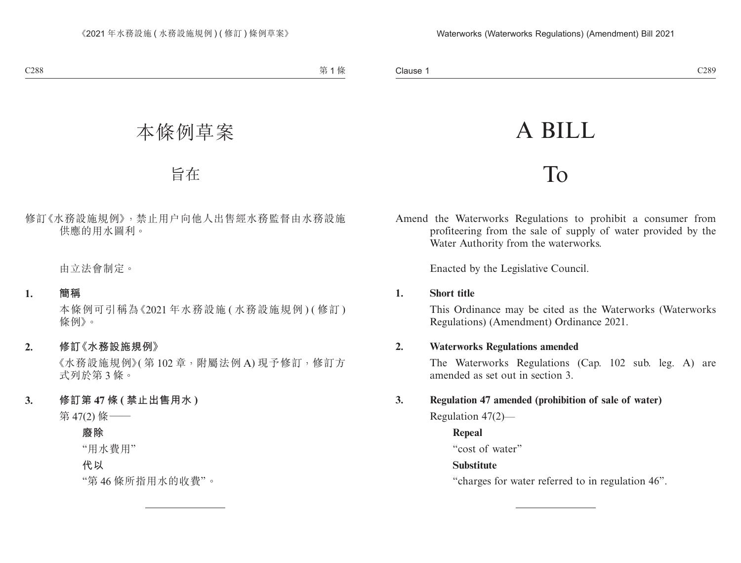# A BILL

## To

Amend the Waterworks Regulations to prohibit a consumer from profiteering from the sale of supply of water provided by the Water Authority from the waterworks.

Enacted by the Legislative Council.

#### **1. Short title**

This Ordinance may be cited as the Waterworks (Waterworks Regulations) (Amendment) Ordinance 2021.

#### **2. Waterworks Regulations amended**

The Waterworks Regulations (Cap. 102 sub. leg. A) are amended as set out in section 3.

### **3. Regulation 47 amended (prohibition of sale of water)**

Regulation 47(2)—

### **Repeal**

"cost of water"

### **Substitute**

"charges for water referred to in regulation 46".